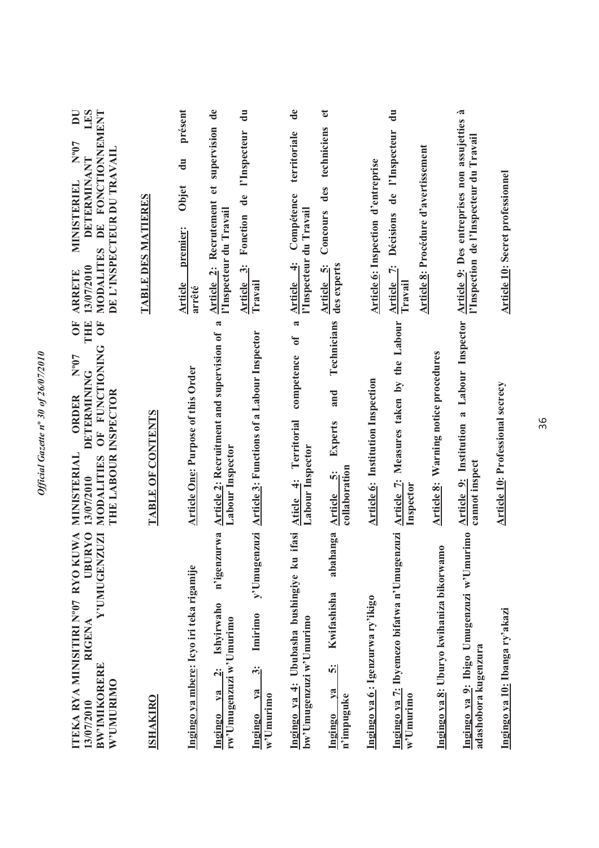| ITEKA RYA MINISITIRI N°07 RYO KUWA<br><b>UBURYO</b><br>Y'UMUGENZUZI<br>RIGENA<br><b>BW'IMIKORERE</b><br>W'UMURIMO<br>13/07/2010 | THE<br>$\overline{O}$<br>Ō<br><b>FUNCTIONING</b><br>$L_{0.5}$<br><b>DETERMINING</b><br>THE LABOUR INSPECTOR<br>ORDER<br>UF<br>O<br>MINISTERIAL<br>MODALITIES<br>13/07/2010 | LES<br>DE FONCTIONNEMENT<br>$\overline{\mathbf{D}}$<br>$N^{\rm o}07$<br>DE L'INSPECTEUR DU TRAVAIL<br><b>DETERMINANT</b><br>MINISTERIEL<br><b>MODALITES</b><br>13/07/2010<br><b>ARRETE</b> |
|---------------------------------------------------------------------------------------------------------------------------------|----------------------------------------------------------------------------------------------------------------------------------------------------------------------------|--------------------------------------------------------------------------------------------------------------------------------------------------------------------------------------------|
| <b>ISHAKIRO</b>                                                                                                                 | TABLE OF CONTENTS                                                                                                                                                          | TABLE DES MATIERES                                                                                                                                                                         |
| Ingingo ya mbere: Icyo iri teka rigamije                                                                                        | <b>Article One: Purpose of this Order</b>                                                                                                                                  | présent<br>$\mathbf{d}\mathbf{u}$<br>Objet<br>premier:<br>Article<br>arrêté                                                                                                                |
| n'igenzurwa<br>Ishyirwaho<br>rw'Umugenzuzi w'Umurimo<br>$\ddot{a}$<br>V2<br>Ingingo                                             | R<br>Article 2: Recruitment and supervision of<br>Labour Inspector                                                                                                         | $\mathbf{d}\mathbf{e}$<br>Article 2: Recrutement et supervision<br>l'Inspecteur du Travail                                                                                                 |
| y'Umugenzuzi<br>Imirimo<br>ကြိ<br>V2<br>$w$ 'Umurimo<br>Ingingo                                                                 | <b>Article 3: Functions of a Labour Inspector</b>                                                                                                                          | $\ddot{a}$<br>l'Inspecteur<br>$\mathbf{d}\mathbf{e}$<br>Fonction<br>Article 3:<br>Travail                                                                                                  |
| ifasi<br>Ingingo ya 4: Ububasha bushingiye ku<br>bw'Umugenzuzi w'Umurimo                                                        | <b>a</b><br>$\mathfrak{h}$<br>competence<br>Territorial<br>Labour Inspector<br>$\ddot{ }$<br>Aticle                                                                        | de<br>territoriale<br>Compétence<br>l'Inspecteur du Travail<br>$\ddot{4}$<br>Article                                                                                                       |
| abahanga<br>Kwifashisha<br>ທີ່<br>V2<br>n'impuguke<br>Ingingo                                                                   | Technicians<br>and<br>Experts<br>collaboration<br>Article 5:                                                                                                               | $\mathbf{e}$<br>techniciens<br>des<br>Concours<br>des experts<br>ή<br>Article                                                                                                              |
| Ingingo ya 6: Igenzurwa ry'ikigo                                                                                                | Article 6: Institution Inspection                                                                                                                                          | Article 6: Inspection d'entreprise                                                                                                                                                         |
| Ingingo ya 7: Ibyemezo bifatwa n'Umugenzuzi<br>$w^2$ Umurimo                                                                    | Article 7: Measures taken by the Labour<br>Inspector                                                                                                                       | $\ddot{a}$<br>de l'Inspecteur<br>Décisions<br>Article 7:<br>Travail                                                                                                                        |
| Ingingo ya 8: Uburyo kwihaniza bikorwamo                                                                                        | Warning notice procedures<br>Article 8:                                                                                                                                    | Article 8: Procédure d'avertissement                                                                                                                                                       |
| Ingingo ya 9: Ibigo Umugenzuzi w'Umurimo<br>adashobora kugenzura                                                                | Article 9: Institution a Labour Inspector<br>cannot inspect                                                                                                                | .ಷ<br>Article 9: Des entreprises non assujetties<br>l'Inspection de l'Inspecteur du Travail                                                                                                |
| Ingingo ya 10: Ibanga ry'akazi                                                                                                  | Article 10: Professional secrecy                                                                                                                                           | Article 10: Secret professionnel                                                                                                                                                           |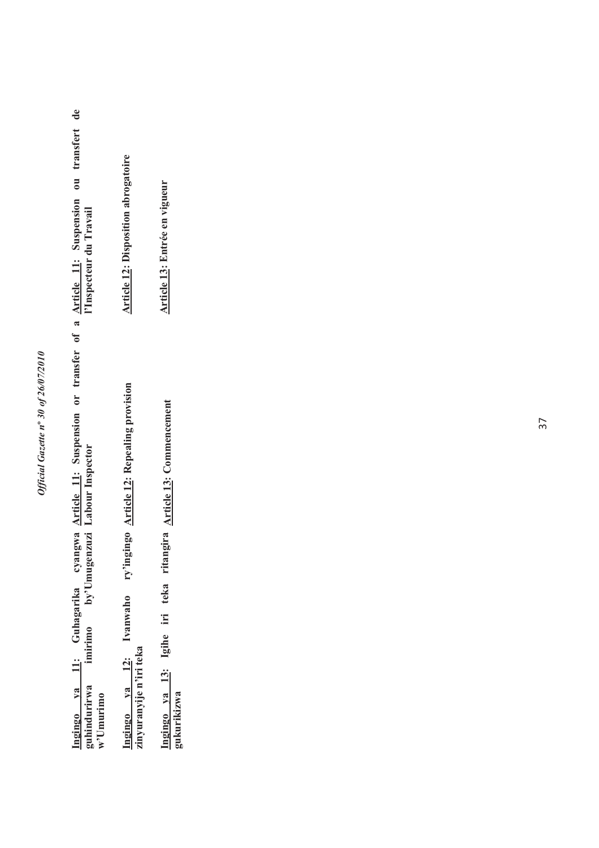## Official Gazette nº 30 of 26/07/2010 *Official Gazette n***º** *30 of 26/07/2010*

<u>Ingingo ya 11</u>: Guhagarika cyangwa <u>Article 11</u>: Suspension or transfer of a <u>Article 11</u>: Suspension ou transfert de<br>guhindurirwa imirimo by<sup>,</sup>'Umugenzuzi Labour-Inspector **Article 11: Suspension ou transfert de l'Inspecteur du Travail Article 11: Suspension or transfer of a Labour Inspector Ingingo ya 11: Guhagarika cyangwa guhindurirwa imirimo by'Umugenzuzi w'Umurimo**

Ingingo ya 12: Ivanwaho ry'ingingo <u>Article 12</u>: Repealing provision<br>zinyuranyije n'iri teka **Article 12: Repealing provision Ingingo ya 12: Ivanwaho ry'ingingo zinyuranyije n'iri teka**

**Ingingo ya 13: Igihe iri teka ritangira gukurikizwa Article 13: Commencement**

**Article 12: Disposition abrogatoire Article 12: Disposition abrogatoire** 

**Article 13: Entrée en vigueur** Article 13: Entrée en vigueur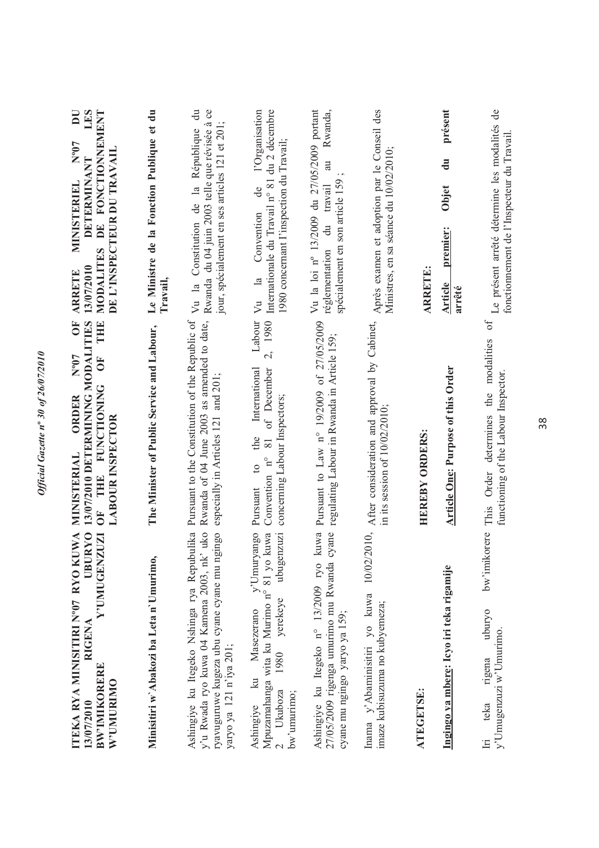| UWA<br><b>UBURYO</b><br>Y'UMUGENZUZI<br>ITEKA RYA MINISITIRI N°07 RYO KI<br><b>RIGENA</b><br><b>BW'IMIKORERE</b><br>W'UMURIMO<br>13/07/2010                          | 13/07/2010 DETERMINING MODALITIES<br>THE<br>ŌF<br>$N^{o}07$<br>OF <sub>1</sub><br>OF THE FUNCTIONING<br>ORDER<br><b>LABOUR INSPECTOR</b><br>MINISTERIAL | LES<br>DE FONCTIONNEMENT<br>$\overline{D}$<br>$N^{\rm o}07$<br>DE L'INSPECTEUR DU TRAVAIL<br>DETERMINANT<br><b>MINISTERIEL</b><br>MODALITES<br>13/07/2010<br><b>ARRETE</b> |
|----------------------------------------------------------------------------------------------------------------------------------------------------------------------|---------------------------------------------------------------------------------------------------------------------------------------------------------|----------------------------------------------------------------------------------------------------------------------------------------------------------------------------|
| Minisitiri w'Abakozi ba Leta n'Umurimo.                                                                                                                              | The Minister of Public Service and Labour,                                                                                                              | Le Ministre de la Fonction Publique et du<br>Travail,                                                                                                                      |
| y'u Rwada ryo kuwa 04 Kamena 2003, nk' uko<br>ryavuguruwe kugeza ubu cyane cyane mu ngingo<br>Ashingiye ku Itegeko Nshinga rya Repubulika<br>yaryo ya 121 n'iya 201; | Pursuant to the Constitution of the Republic of<br>Rwanda of 04 June 2003 as amended to date,<br>especially in Articles 121 and 201;                    | $\ddot{a}$<br>Rwanda du 04 juin 2003 telle que révisée à ce<br>jour, spécialement en ses articles 121 et 201;<br>Constitution de la République<br>Vu la                    |
| y'Umuryango<br>Mpuzamahanga wita ku Murimo n° 81 yo kuwa<br>ubugenzuzi<br>yerekeye<br>Masezerano<br>1980<br>$k$ u<br>Ukuboza<br>bw'umurimo;<br>Ashingiye             | Labour<br>2, 1980<br>International<br>of December<br>concerning Labour Inspectors;<br>the<br>$\rm 81$<br>Convention n°<br>$\overline{c}$<br>Pursuant    | Internationale du Travail n° 81 du 2 décembre<br>l'Organisation<br>1980 concernant I'inspection du Travail;<br>de<br>Vu la Convention                                      |
| kuwa<br>cyane<br>27/05/2009 rigenga umurimo mu Rwanda<br>Ashingiye ku Itegeko nº 13/2009 ryo<br>cyane mu ngingo yaryo ya 159;                                        | Pursuant to Law n° 19/2009 of 27/05/2009<br>regulating Labour in Rwanda in Article 159;                                                                 | Rwanda,<br>Vu la loi nº 13/2009 du 27/05/2009 portant<br>au<br>spécialement en son article 159<br>travail<br>$\frac{du}{dt}$<br>réglementation                             |
| 10/02/2010,<br>Inama y'Abaminisitiri yo kuwa<br>imaze kubisuzuma no kubyemeza;                                                                                       | After consideration and approval by Cabinet,<br>in its session of $10/02/2010$ ;                                                                        | Après examen et adoption par le Conseil des<br>Ministres, en sa séance du 10/02/2010;                                                                                      |
| ATEGETSE:                                                                                                                                                            | <b>HEREBY ORDERS:</b>                                                                                                                                   | <b>ARRETE:</b>                                                                                                                                                             |
| Ingingo ya mbere: Icyo iri teka rigamije                                                                                                                             | <b>Article One: Purpose of this Order</b>                                                                                                               | présent<br>$\mathbf{d}$ u<br>Objet<br>premier:<br>Article<br>arrêté                                                                                                        |
| bw'imikorere<br>uburyo<br>y'Umugenzuzi w'Umurimo.<br>rigena<br>teka<br>$\Xi$                                                                                         | Ъ<br>This Order determines the modalities<br>functioning of the Labour Inspector.                                                                       | Le présent arrêté détermine les modalités de<br>fonctionnement de l'Inspecteur du Travail                                                                                  |

38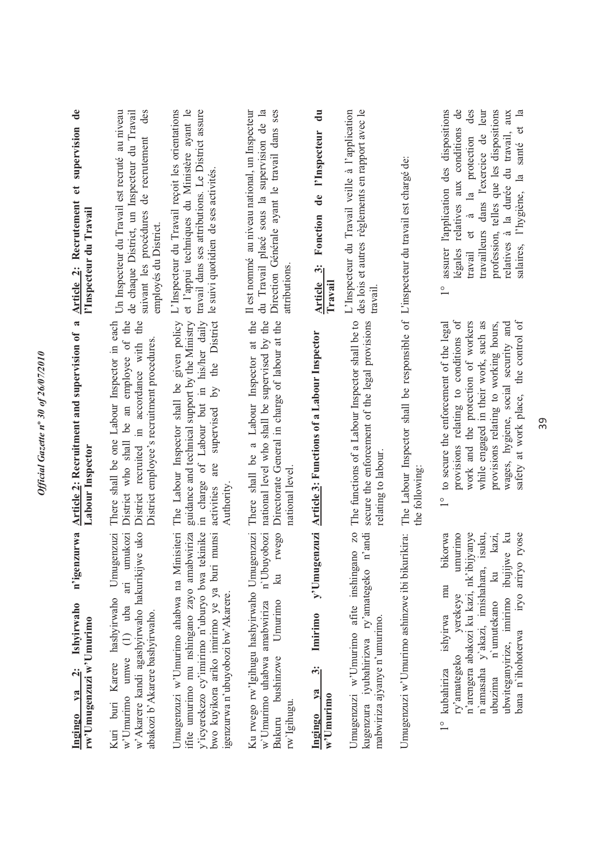| $\mathbf{d}\mathbf{e}$<br>et supervision<br><b>Article 2: Recrutement</b><br>l'Inspecteur du Travail | Un Inspecteur du Travail est recruté au niveau<br>des<br>de chaque District, un Inspecteur du Travail<br>suivant les procédures de recrutement<br>employés du District.             | L'Inspecteur du Travail reçoit les orientations<br>et l'appui techniques du Ministère ayant le<br>travail dans ses attributions. Le District assure<br>le suivi quotidien de ses activités.                                       | du Travail placé sous la supervision de la<br>Il est nommé au niveau national, un Inspecteur<br>Direction Générale ayant le travail dans ses<br>attributions  | $\ddot{a}$<br>l'Inspecteur<br>de<br>Fonction<br>Article 3:<br>Travail                           | L'Inspecteur du Travail veille à l'application<br>des lois et autres règlements en rapport avec le<br>travail                       |                                                                                                      | l'application des dispositions<br>légales relatives aux conditions de<br>des<br>profession, telles que les dispositions<br>travailleurs dans l'exercice de leur<br>salaires, l'hygiène, la santé et la<br>relatives à la durée du travail, aux<br>et à la protection<br>assurer<br>travail<br>$\overline{1}$                                   |
|------------------------------------------------------------------------------------------------------|-------------------------------------------------------------------------------------------------------------------------------------------------------------------------------------|-----------------------------------------------------------------------------------------------------------------------------------------------------------------------------------------------------------------------------------|---------------------------------------------------------------------------------------------------------------------------------------------------------------|-------------------------------------------------------------------------------------------------|-------------------------------------------------------------------------------------------------------------------------------------|------------------------------------------------------------------------------------------------------|------------------------------------------------------------------------------------------------------------------------------------------------------------------------------------------------------------------------------------------------------------------------------------------------------------------------------------------------|
| $\approx$<br><b>Article 2: Recruitment and supervision of</b><br>Labour Inspector                    | There shall be one Labour Inspector in each<br>District who shall be an employee of the<br>District recruited in accordance with the<br>District employee's recruitment procedures. | guidance and technical support by the Ministry<br>in charge of Labour but in his/her daily<br>the District<br>The Labour Inspector shall be given policy<br>$\tilde{\mathcal{A}}$<br>supervised<br>are<br>Authority<br>activities | There shall be a Labour Inspector at the<br>national level who shall be supervised by the<br>Directorate General in charge of labour at the<br>national level | <b>Article 3: Functions of a Labour Inspector</b>                                               | The functions of a Labour Inspector shall be to<br>secure the enforcement of the legal provisions<br>relating to labour.            | The Labour Inspector shall be responsible of L'inspecteur du travail est chargé de:<br>the following | safety at work place, the control of<br>provisions relating to conditions of<br>while engaged in their work, such as<br>to secure the enforcement of the legal<br>work and the protection of workers<br>provisions relating to working hours,<br>wages, hygiene, social security and<br>$\frac{1}{1}$                                          |
| n'igenzurwa<br>Ingingo ya 2: Ishyirwaho<br>rw'Umugenzuzi w'Umurimo                                   | e uko<br>Kuri buri Karere hashyirwaho Umugenzuzi<br>(1) uba ari umukozi<br>w'Akarere kandi agashyirwaho hakurikijw<br>abakozi b'Akarere bashyirwaho.<br>w'Umurimo umwe              | Umugenzuzi w'Umurimo ahabwa na Minisiteri<br>ifite umurimo mu nshingano zayo amabwiriza<br>y'icyerekezo cy'imirimo n'uburyo bwa tekinike<br>munsi<br>bwo kuyikora ariko imirimo ye ya buri<br>igenzurwa n'ubuyobozi bw'Akarere.   | Ku rwego rw'lgihugu hashyirwaho Umugenzuzi<br>n'Ubuyobozi<br>rwego<br>$\vec{z}$<br>w'Umurimo uhabwa amabwiriza<br>Umurimo<br>Bukuru bushinzwe<br>rw'Igihugu.  | y'Umugenzuzi<br>Imirimo<br>ကြံ<br>V2<br>$w$ <sup><math>\upsilon</math></sup> Umurimo<br>Ingingo | <b>ZO</b><br>n'andi<br>Umugenzuzi w'Umurimo afite inshingano<br>kugenzura iyubahirizwa ry'amategeko<br>mabwiriza ajyanye n'umurimo. | Umugenzuzi w'Umurimo ashinzwe ibi bikurikira:                                                        | yanye<br>ubwiteganyirize, imirimo ibujijwe ku<br>bikorwa<br>umurimo<br>isuku,<br>kazi,<br>ryose<br>n'arengera abakozi ku kazi, nk'ibij<br>iryo ariryo<br>n'amasaha y'akazi, imishahara,<br>$\overline{\mathbf{a}}$<br>mu<br>yerekeye<br>n'umutekano<br>ishyirwa<br>bana n'ihohoterwa<br>ry'amategeko<br>ubuzima<br>kubahiriza<br>$\frac{1}{1}$ |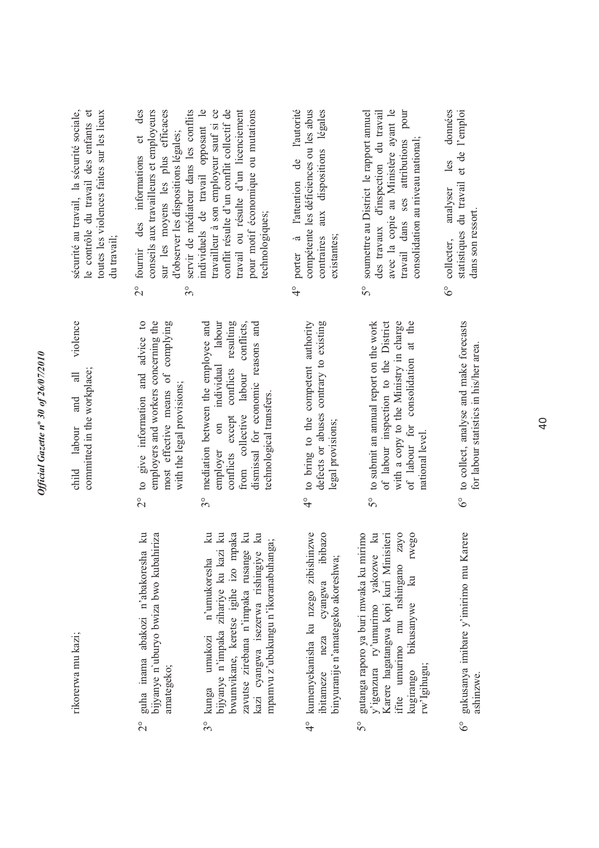| ۵                             |
|-------------------------------|
|                               |
| 0107                          |
|                               |
|                               |
| of $26/07$                    |
|                               |
|                               |
|                               |
|                               |
|                               |
|                               |
| ۰.                            |
|                               |
|                               |
|                               |
| $\tilde{\mathcal{S}}$         |
|                               |
|                               |
| $\boldsymbol{n}^{\mathrm{o}}$ |
| zette                         |
|                               |
|                               |
|                               |
|                               |
| š                             |
| Ć                             |
|                               |
|                               |
|                               |
|                               |
| Officia                       |
|                               |
|                               |
| ミ                             |
|                               |
|                               |
|                               |

rikorerwa mu kazi; rikorerwa mu kazi;

child labour and all violence violence child labour and all committed in the workplace; committed in the workplace;

- 2° guha inama abakozi n'abakoresha ku bijyanye n`uburyo bwiza bwo kubahiriza guha inama abakozi n'abakoresha ku bijyanye n'uburyo bwiza bwo kubahiriza amategeko;  $\frac{1}{2}$
- kunga umukozi n'umukoresha ku<br>bijyanye n'impaka zihariye ku kazi ku 3° kunga umukozi n'umukoresha ku bijyanye n'impaka zihariye ku kazi ku bwumvikane, keretse igihe izo mpaka bwumvikane, keretse igihe izo mpaka zavutse zirebana n'impaka rusange ku zavutse zirebana n'impaka rusange ku kazi cyangwa isezerwa rishingiye ku kazi cyangwa isezerwa rishingiye ku mpamvu z'ubukungu n'ikoranabuhanga; mpamvu z'ubukungu n'ikoranabuhanga; kunga  $3^{\circ}$
- kumenyekanisha ku nzego zibishinzwe 4° kumenyekanisha ku nzego zibishinzwe ibitameze neza cyangwa ibibazo cyangwa ibibazo binyuranije n'amategeko akoreshwa; binyuranije n'amategeko akoreshwa; ibitameze neza  $rac{1}{4}$
- 5° gutanga raporo ya buri mwaka ku mirimo y'igenzura ry'umurimo yakozwe ku Karere hagatangwa kopi kuri Minisiteri ifite umurimo mu nshingano zayo kugirango bikusanywe ku rwego gutanga raporo ya buri mwaka ku mirimo y'igenzura ry'umurimo yakozwe ku Karere hagatangwa kopi kuri Minisiteri ifite umurimo mu nshingano zayo rwego kugirango bikusanywe ku rw'Igihugu;  $5^{\circ}$
- 6° gukusanya imibare y'imirimo mu Karere gukusanya imibare y'imirimo mu Karere ashinzwe.  $6^\circ$

2° to give information and advice to employers and workers concerning the employers and workers concerning the to give information and advice to  $\overline{c}$ 

most effective means of complying

most effective means of complying

with the legal provisions;

with the legal provisions;

- 3° mediation between the employee and on individual labour employer on individual labour conflicts except conflicts resulting conflicts except conflicts resulting from collective labour conflicts, dismissal for economic reasons and mediation between the employee and from collective labour conflicts, dismissal for economic reasons and technological transfers. technological transfers. employer  $3^\circ$
- 4° to bring to the competent authority defects or abuses contrary to existing to bring to the competent authority defects or abuses contrary to existing legal provisions; legal provisions;  $\frac{1}{4}$
- to submit an annual report on the work 5° to submit an annual report on the work of labour inspection to the District of labour inspection to the District with a copy to the Ministry in charge<br>of labour for consolidation at the with a copy to the Ministry in charge of labour for consolidation at the national level. national level.  $5^{\circ}$
- to collect, analyse and make forecasts<br>for labour statistics in his/her area. 6° to collect, analyse and make forecasts for labour statistics in his/her area.  $6^\circ$

sécurité au travail, la sécurité sociale, le contrôle du travail des enfants et toutes les violences faites sur les lieux sécurité au travail, la sécurité sociale, le contrôle du travail des enfants et toutes les violences faites sur les lieux du travail;

- 2° fournir des informations et des conseils aux travailleurs et employeurs sur les moyens les plus efficaces conseils aux travailleurs et employeurs sur les moyens les plus efficaces et des d'observer les dispositions légales; d'observer les dispositions légales; fournir des informations  $\frac{1}{2}$
- 3° servir de médiateur dans les conflits individuels de travail opposant le travailleur à son employeur sauf si ce conflit résulte d'un conflit collectif de travail ou résulte d'un licenciement pour motif économique ou mutations servir de médiateur dans les conflits individuels de travail opposant le travailleur à son employeur sauf si ce conflit résulte d'un conflit collectif de travail ou résulte d'un licenciement pour motif économique ou mutations technologiques; technologiques;  $3^{\circ}$
- 4° porter à l'attention de l'autorité compétente les déficiences ou les abus contraires aux dispositions légales porter à l'attention de l'autorité compétente les déficiences ou les abus contraires aux dispositions légales existantes;  $\frac{6}{4}$
- 5° soumettre au District le rapport annuel des travaux d'inspection du travail avec la copie au Ministère ayant le travail dans ses attributions pour 5° soumettre au District le rapport annuel avec la copie au Ministère ayant le travail dans ses attributions pour des travaux d'inspection du travail consolidation au niveau national; consolidation au niveau national;
- 6° collecter, analyser les données statistiques du travail et de l'emploi données statistiques du travail et de l'emploi les 6° collecter, analyser dans son ressort. dans son ressort.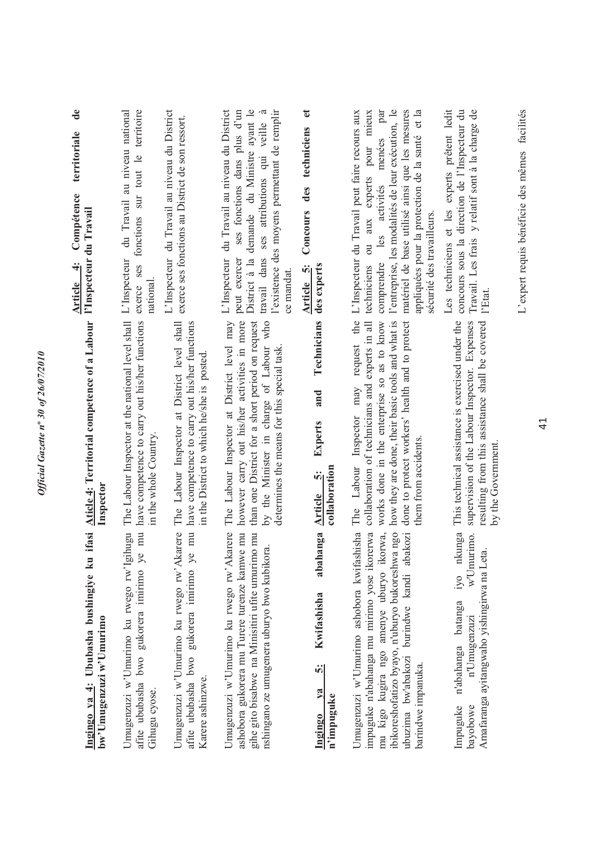| de<br>territoriale<br>Compétence<br>l'Inspecteur du Travail<br>$\div$<br>Article | du Travail au niveau national<br>fonctions sur tout le territoire<br>exerce ses<br>national                                              | L'Inspecteur du Travail au niveau du District<br>exerce ses fonctions au District de son ressort.                                            | District à la demande du Ministre ayant le<br>l'existence des moyens permettant de remplir<br>L'Inspecteur du Travail au niveau du District<br>$\tilde{\sigma}$<br>ses fonctions dans plus d'un<br>travail dans ses attributions qui veille<br>peut exercer<br>ce mandat. | $\ddot{\phantom{a}}$<br>des techniciens<br>Concours<br>des experts<br>Article <sub>5</sub> : | l'entreprise, les modalités de leur exécution, le<br>matériel de base utilisé ainsi que les mesures<br>par<br>appliquées pour la protection de la santé et la<br>request the L'Inspecteur du Travail peut faire recours aux<br>pour mieux<br>menées<br>aux experts<br>les activités<br>sécurité des travailleurs.<br>$\overline{\mathrm{d}}$<br>comprendre<br>techniciens | Les techniciens et les experts prêtent ledit<br>concours sous la direction de l'Inspecteur du<br>Travail. Les frais y relatif sont à la charge de<br>l'Etat.               |
|----------------------------------------------------------------------------------|------------------------------------------------------------------------------------------------------------------------------------------|----------------------------------------------------------------------------------------------------------------------------------------------|---------------------------------------------------------------------------------------------------------------------------------------------------------------------------------------------------------------------------------------------------------------------------|----------------------------------------------------------------------------------------------|---------------------------------------------------------------------------------------------------------------------------------------------------------------------------------------------------------------------------------------------------------------------------------------------------------------------------------------------------------------------------|----------------------------------------------------------------------------------------------------------------------------------------------------------------------------|
| Aticle 4: Territorial competence of a Labour<br>Inspector                        | The Labour Inspector at the national level shall L'Inspecteur<br>have competence to carry out his/her functions<br>in the whole Country. | have competence to carry out his/her functions<br>The Labour Inspector at District level shall<br>in the District to which he/she is posted. | however carry out his/her activities in more<br>The Labour Inspector at District level may<br>than one District for a short period on request<br>by the Minister in charge of Labour who<br>determines the means for this special task.                                   | Technicians<br>and<br>Experts<br>collaboration<br>Article 5:                                 | collaboration of technicians and experts in all<br>works done in the enterprise so as to know<br>how they are done, their basic tools and what is<br>done to protect workers' health and to protect<br>Inspector may<br>them from accidents.<br>The Labour                                                                                                                | This technical assistance is exercised under the<br>supervision of the Labour Inspector. Expenses<br>resulting from this assistance shall be covered<br>by the Government. |
| ifasi<br>Ingingo ya 4: Ububasha bushingiye ku<br>bw'Umugenzuzi w'Umurimo         | afite ububasha bwo gukorera imirimo ye mu<br>Umugenzuzi w'Umurimo ku rwego rw'Igihugu<br>Gihugu cyose.                                   | afite ububasha bwo gukorera imirimo ye mu<br>karere<br>Umugenzuzi w'Umurimo ku rwego rw'A<br>Karere ashinzwe.                                | Umugenzuzi w'Umurimo ku rwego rw'Akarere<br>ashobora gukorera mu Turere turenze kamwe mu<br>gihe gito bisabwe na Minisitiri ufite umurimo mu<br>nshingano ze umugenera uburyo bwo kubikora.                                                                               | abahanga<br>Kwifashisha<br>5.<br>$2$<br>n'impuguke<br>Ingingo                                | ibikoreshofatizo byayo, n'uburyo bukoreshwa ngo<br>Umugenzuzi w'Umurimo ashobora kwifashisha<br>mu kigo kugira ngo amenye uburyo ikorwa,<br>impuguke n'abahanga mu mirimo yose ikorerwa<br>ubuzima bw'abakozi burindwe kandi abakozi<br>barindwe impanuka.                                                                                                                | iyo nkunga<br>w'Umurimo.<br>Amafaranga ayitangwaho yishingirwa na Leta.<br>batanga<br>n'Umugenzuzi<br>n'abahanga<br>Impuguke<br>bayobowe                                   |

Official Gazette nº 30 of 26/07/2010

L'expert requis bénéficie des mêmes facilités L'expert requis bénéficie des mêmes facilités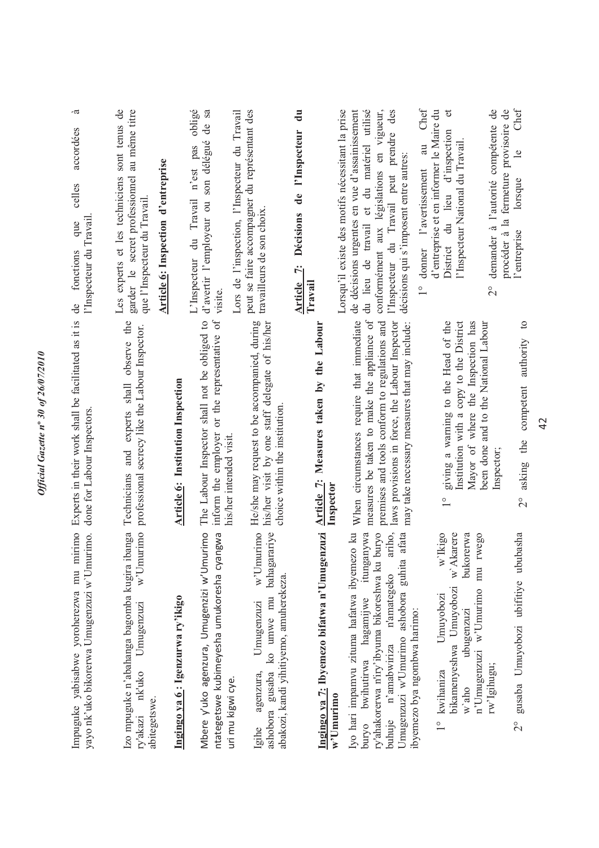|                                                                                                                                                                                                                                                                                                                                                                                                                                                                                                                                                                                                                                                                                                                                                                                                                                                                                                                                                                                                             | obligé<br>de sa<br>d'avertir l'employeur ou son délégué<br>L'Inspecteur du Travail n'est pas<br>visite<br>inform the employer or the representative of<br>The Labour Inspector shall not be obliged to<br>his/her intended visit.<br>Mbere y'uko agenzura, Umugenzizi w'Umurimo<br>ntategetswe kubimeyesha umukoresha cyangwa                                                                                                         |
|-------------------------------------------------------------------------------------------------------------------------------------------------------------------------------------------------------------------------------------------------------------------------------------------------------------------------------------------------------------------------------------------------------------------------------------------------------------------------------------------------------------------------------------------------------------------------------------------------------------------------------------------------------------------------------------------------------------------------------------------------------------------------------------------------------------------------------------------------------------------------------------------------------------------------------------------------------------------------------------------------------------|---------------------------------------------------------------------------------------------------------------------------------------------------------------------------------------------------------------------------------------------------------------------------------------------------------------------------------------------------------------------------------------------------------------------------------------|
| demander à l'autorité compétente de<br>au<br>décisions qui s'imposent entre autres:<br>l'avertissement<br>de<br>travailleurs de son choix<br>Décisions<br>donner<br>Ÿ<br><b>Article</b><br>Travail<br>$\frac{1}{2}$<br>measures be taken to make the appliance of<br>When circumstances require that immediate<br>He/she may request to be accompanied, during<br>his/her visit by one staff delegate of his/her<br>premises and tools conform to regulations and<br>laws provisions in force, the Labour Inspector<br>giving a warning to the Head of the<br>Mayor of where the Inspection has<br>Institution with a copy to the District<br>Article 7: Measures taken by the Labour<br>been done and to the National Labour<br>may take necessary measures that may include:<br>choice within the institution<br>Inspector;<br>Inspector<br>$\frac{1}{1}$<br>ariho,<br>$w$ 'Umurimo<br>itunganywa<br>puryo<br>bukorerwa<br>rwego<br>afata<br>w Ikigo<br>$\overline{\text{m}}$<br>n'amategeko<br>Umuyobozi | gusaba ko umwe mu bahagarariye<br>Ingingo ya 7: Ibyemezo bifatwa n'Umugenzuzi<br>Iyo hari impamvu zituma hafatwa ibyemezo ku<br>bikamenyeshwa Umuyobozi w'Akarere<br>ry'ahakorerwa n'iry'ibyuma bikoreshwa ku<br>Umugenzuzi w'Umurimo ashobora guhita<br>abakozi, kandi yihitiyemo, amuherekeza.<br>n'Umugenzuzi w'Umurimo<br>bwihutirwa hagamijwe<br>Umugenzuzi<br>ibyemezo bya ngombwa harimo:<br>ubugenzuzi<br>buhuje n'amabwiriza |
| d'entreprise et en informer le Maire du<br>l'Inspecteur<br>District du lieu d'inspection<br>l'Inspecteur du Travail peut prendre<br>l'Inspecteur National du Travail.                                                                                                                                                                                                                                                                                                                                                                                                                                                                                                                                                                                                                                                                                                                                                                                                                                       |                                                                                                                                                                                                                                                                                                                                                                                                                                       |
| Chef                                                                                                                                                                                                                                                                                                                                                                                                                                                                                                                                                                                                                                                                                                                                                                                                                                                                                                                                                                                                        |                                                                                                                                                                                                                                                                                                                                                                                                                                       |
| du lieu de travail et du matériel utilisé<br>des<br>conformément aux législations en vigueur,                                                                                                                                                                                                                                                                                                                                                                                                                                                                                                                                                                                                                                                                                                                                                                                                                                                                                                               |                                                                                                                                                                                                                                                                                                                                                                                                                                       |
|                                                                                                                                                                                                                                                                                                                                                                                                                                                                                                                                                                                                                                                                                                                                                                                                                                                                                                                                                                                                             | Lorsqu'il existe des motifs nécessitant la prise<br>Lors de l'inspection, l'Inspecteur du Travail<br>peut se faire accompagner du représentant des<br>$\overline{d}$ u<br>de décisions urgentes en vue d'assainissement                                                                                                                                                                                                               |
|                                                                                                                                                                                                                                                                                                                                                                                                                                                                                                                                                                                                                                                                                                                                                                                                                                                                                                                                                                                                             |                                                                                                                                                                                                                                                                                                                                                                                                                                       |
|                                                                                                                                                                                                                                                                                                                                                                                                                                                                                                                                                                                                                                                                                                                                                                                                                                                                                                                                                                                                             |                                                                                                                                                                                                                                                                                                                                                                                                                                       |
|                                                                                                                                                                                                                                                                                                                                                                                                                                                                                                                                                                                                                                                                                                                                                                                                                                                                                                                                                                                                             |                                                                                                                                                                                                                                                                                                                                                                                                                                       |
|                                                                                                                                                                                                                                                                                                                                                                                                                                                                                                                                                                                                                                                                                                                                                                                                                                                                                                                                                                                                             |                                                                                                                                                                                                                                                                                                                                                                                                                                       |
| Article 6: Institution Inspection                                                                                                                                                                                                                                                                                                                                                                                                                                                                                                                                                                                                                                                                                                                                                                                                                                                                                                                                                                           | Ingingo ya 6: Igenzurwa ry'ikigo                                                                                                                                                                                                                                                                                                                                                                                                      |
| Article 6: Inspection d'entreprise                                                                                                                                                                                                                                                                                                                                                                                                                                                                                                                                                                                                                                                                                                                                                                                                                                                                                                                                                                          |                                                                                                                                                                                                                                                                                                                                                                                                                                       |
| Les experts et les techniciens<br>que l'Inspecteur du Travail<br>and experts shall observe the<br>professional secrecy like the Labour Inspector.<br>Technicians<br>Izo mpuguke n'abahanga bagomba kugira ibanga<br>w'Umurimo<br>Umugenzuzi                                                                                                                                                                                                                                                                                                                                                                                                                                                                                                                                                                                                                                                                                                                                                                 | sont tenus de<br>garder le secret professionnel au même titre                                                                                                                                                                                                                                                                                                                                                                         |
| accordées<br>celles<br>l'Inspecteur du Travail<br>que<br>fonctions<br>de<br>Experts in their work shall be facilitated as it is<br>done for Labour Inspectors<br>Impuguke yabisabwe yoroherezwa mu mirimo<br>yayo nk'uko bikorerwa Umugenzuzi w'Umurimo.                                                                                                                                                                                                                                                                                                                                                                                                                                                                                                                                                                                                                                                                                                                                                    |                                                                                                                                                                                                                                                                                                                                                                                                                                       |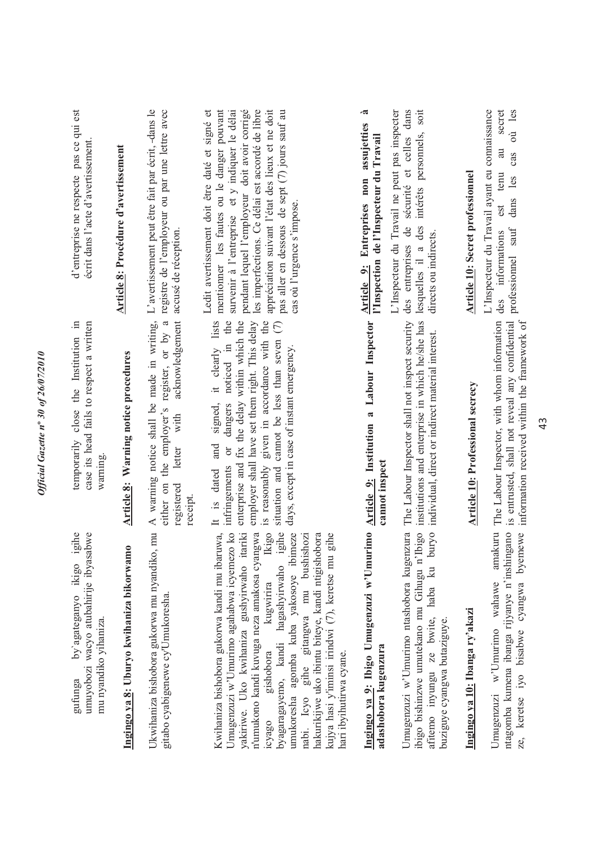| igihe<br>umuyobozi wacyo atubahirije ibyasabwe<br>ikigo<br>by agateganyo<br>mu nyandiko yihaniza.<br>gufunga                                                                                                                                                                                                                                                                                                                                                                                                        | temporarily close the Institution in<br>case its head fails to respect a written<br>warning.                                                                                                                                                                                                                                                               | d'entreprise ne respecte pas ce qui est<br>écrit dans l'acte d'avertissement.                                                                                                                                                                                                                                                                                                           |
|---------------------------------------------------------------------------------------------------------------------------------------------------------------------------------------------------------------------------------------------------------------------------------------------------------------------------------------------------------------------------------------------------------------------------------------------------------------------------------------------------------------------|------------------------------------------------------------------------------------------------------------------------------------------------------------------------------------------------------------------------------------------------------------------------------------------------------------------------------------------------------------|-----------------------------------------------------------------------------------------------------------------------------------------------------------------------------------------------------------------------------------------------------------------------------------------------------------------------------------------------------------------------------------------|
| Ingingo ya 8: Uburyo kwihaniza bikorwamo                                                                                                                                                                                                                                                                                                                                                                                                                                                                            | Article 8: Warning notice procedures                                                                                                                                                                                                                                                                                                                       | Article 8: Procédure d'avertissement                                                                                                                                                                                                                                                                                                                                                    |
| Ukwihaniza bishobora gukorwa mu nyandiko, mu<br>gitabo cyabigenewe cy'Umukoresha                                                                                                                                                                                                                                                                                                                                                                                                                                    | either on the employer's register, or by a<br>acknowledgement<br>A warning notice shall be made in writing,<br>letter with<br>registered<br>receipt.                                                                                                                                                                                                       | L'avertissement peut être fait par écrit, -dans le<br>registre de l'employeur ou par une lettre avec<br>accusé de réception.                                                                                                                                                                                                                                                            |
| igihe<br>Kwihaniza bishobora gukorwa kandi mu ibaruwa,<br>Umugenzuzi w'Umurimo agahabwa icyemezo ko<br>n'umukono kandi kuvuga neza amakosa cyangwa<br>Ikigo<br>umukoresha agomba kuba yakosoye ibimeze<br>gihe<br>yakiriwe. Uko kwihaniza gushyirwaho itariki<br>hakurikijwe uko ibintu biteye, kandi ntigishobora<br>gihe gitangwa mu bushishozi<br>kujya hasi y'iminsi irindwi (7), keretse mu<br>byagaragayemo, kandi hagashyirwaho<br>kugwirira<br>gishobora<br>hari ibyihutirwa cyane.<br>nabi. Icyo<br>icyago | dangers noticed in the<br>it clearly lists<br>enterprise and fix the delay within which the<br>given in accordance with the<br>employer shall have set them right. This delay<br>$\odot$<br>situation and cannot be less than seven<br>days, except in case of instant emergency.<br>signed,<br>and<br>öľ<br>is reasonably<br>infringements<br>It is dated | appréciation suivant l'état des lieux et ne doit<br>mentionner les fautes ou le danger pouvant<br>pendant lequel l'employeur doit avoir corrigé<br>les imperfections. Ce délai est accordé de libre<br>pas aller en dessous de sept (7) jours sauf au<br>survenir à l'entreprise et y indiquer le délai<br>Ledit avertissement doit être daté et signé et<br>cas où l'urgence s'impose. |
| urimo<br>Ingingo ya 9: Ibigo Umugenzuzi w'Umu<br>adashobora kugenzura                                                                                                                                                                                                                                                                                                                                                                                                                                               | Article 9: Institution a Labour Inspector<br>cannot inspect                                                                                                                                                                                                                                                                                                | .ಷ<br>assujetties<br>l'Inspection de l'Inspecteur du Travail<br>Entreprises non<br>Article 9:                                                                                                                                                                                                                                                                                           |
| ibigo bishinzwe umutekano mu Gihugu n'Ibigo<br>Umugenzuzi w'Umurimo ntashobora kugenzura<br>puryo<br>haba ku<br>afitemo inyungu ze bwite,<br>buziguye cyangwa butaziguye.                                                                                                                                                                                                                                                                                                                                           | institutions and enterprise in which he/she has<br>The Labour Inspector shall not inspect security<br>individual, direct or indirect material interest.                                                                                                                                                                                                    | L'Inspecteur du Travail ne peut pas inspecter<br>des entreprises de sécurité et celles dans<br>lesquelles il a des intérêts personnels, soit<br>directs ou indirects.                                                                                                                                                                                                                   |
| Ingingo ya 10: Ibanga ry'akazi                                                                                                                                                                                                                                                                                                                                                                                                                                                                                      | Article 10: Professional secrecy                                                                                                                                                                                                                                                                                                                           | <b>Article 10: Secret professionnel</b>                                                                                                                                                                                                                                                                                                                                                 |
| amakuru<br>keretse iyo bisabwe cyangwa byemewe<br>ntagomba kumena ibanga rijyanye n'inshingano<br>Umugenzuzi w'Umurimo wahawe<br>ze,                                                                                                                                                                                                                                                                                                                                                                                | The Labour Inspector, with whom information<br>information received within the framework of<br>is entrusted, shall not reveal any confidential                                                                                                                                                                                                             | secret<br>où les<br>L'Inspecteur du Travail ayant eu connaissance<br>au<br>cas<br>est tenu<br>dans les<br>professionnel sauf<br>des informations                                                                                                                                                                                                                                        |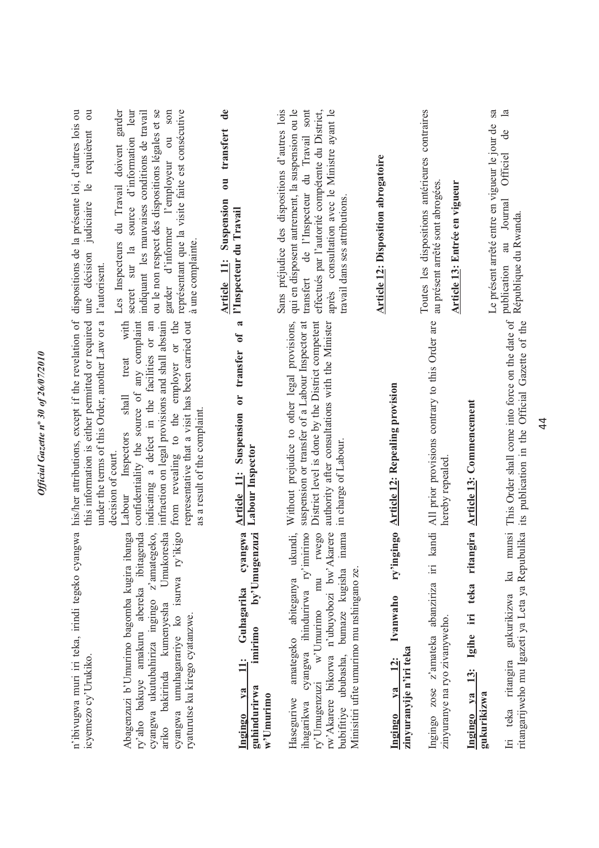| dispositions de la présente loi, d'autres lois ou<br>$\overline{\mathrm{c}}$<br>requièrent                                                                                                        | Les Inspecteurs du Travail doivent garder<br>secret sur la source d'information leur<br>indiquant les mauvaises conditions de travail<br>ou le non respect des dispositions légales et se<br>son<br>représentant que la visite faite est consécutive<br>garder d'informer l'employeur ou<br>à une complainte                                        | $\mathbf{d}\mathbf{e}$<br>transfert<br>$\overline{\mathsf{U}}$<br>Suspension<br>l'Inspecteur du Travail<br><b>Article 11:</b> | Sans préjudice des dispositions d'autres lois<br>qui en disposent autrement, la suspension ou le<br>transfert de l'Inspecteur du Travail sont<br>effectués par l'autorité compétente du District,<br>consultation avec le Ministre ayant le<br>travail dans ses attributions.<br>après | <b>Article 12: Disposition abrogatoire</b>                              | Toutes les dispositions antérieures contraires<br>au présent arrêté sont abrogées.<br>Article 13: Entrée en vigueur |                                                              | $\overline{\text{sa}}$<br>$\mathbf{a}$<br>Le présent arrêté entre en vigueur le jour de<br>de<br>Officiel<br>au Journal<br>République du Rwanda.<br>publication |
|---------------------------------------------------------------------------------------------------------------------------------------------------------------------------------------------------|-----------------------------------------------------------------------------------------------------------------------------------------------------------------------------------------------------------------------------------------------------------------------------------------------------------------------------------------------------|-------------------------------------------------------------------------------------------------------------------------------|----------------------------------------------------------------------------------------------------------------------------------------------------------------------------------------------------------------------------------------------------------------------------------------|-------------------------------------------------------------------------|---------------------------------------------------------------------------------------------------------------------|--------------------------------------------------------------|-----------------------------------------------------------------------------------------------------------------------------------------------------------------|
| this information is either permitted or required une décision judiciaire le<br>under the terms of this Order, another Law or a l'autorisent.<br>his/her attributions, except if the revelation of | confidentiality the source of any complaint<br>with<br>indicating a defect in the facilities or an<br>infraction on legal provisions and shall abstain<br>from revealing to the employer or the<br>representative that a visit has been carried out<br>treat<br>shall<br>as a result of the complaint<br>Inspectors<br>decision of court.<br>Labour | $\vec{a}$<br>$\mathfrak{h}$<br>Article 11: Suspension or transfer<br>Labour Inspector                                         | Without prejudice to other legal provisions,<br>suspension or transfer of a Labour Inspector at<br>District level is done by the District competent<br>authority after consultations with the Minister<br>in charge of Labour.                                                         | gingo Article 12: Repealing provision                                   | All prior provisions contrary to this Order are<br>hereby repealed                                                  | <b>Article 13: Commencement</b>                              | This Order shall come into force on the date of<br>its publication in the Official Gazette of the                                                               |
| n'ibivugwa muri iri teka, irindi tegeko cyangwa<br>icyemezo cy'Urukiko.                                                                                                                           | abereka ibitagenda<br>ariko bakirinda kumenyesha Umukoresha<br>cyangwa umuhagarariye ko isurwa ry'ikigo<br>Abagenzuzi b'Umurimo bagomba kugira ibanga<br>cyangwa ukutubahiriza ingingo z'amategeko,<br>ryaturutse ku kirego cyatanzwe.<br>ry'aho bakuye amakuru                                                                                     | cyangwa<br>by'Umugenzuzi<br>11: Guhagarika<br>imirimo<br>guhindurirwa<br>ya<br>$w'$ Umurimo<br>Ingingo                        | ukundi,<br>cyangwa ihindurirwa ry'imirimo<br>rwego<br>rw'Akarere bikorwa n'ubuyobozi bw'Akarere<br>inama<br>Minisitiri ufite umurimo mu nshingano ze.<br>bubifitiye ububasha, bumaze kugisha<br>amategeko abiteganya<br>mu<br>ry'Umugenzuzi w'Umurimo<br>Haseguriwe<br>ihagarikwa      | ry'in<br>Ivanwaho<br>zinyuranyije n'iri teka<br>$12$ :<br>V2<br>Ingingo | kandi<br>Ingingo zose z'amateka abanziriza iri<br>zinyuranye na ryo zivanyweho.                                     | ritangira<br>13: Igihe iri teka<br>Ingingo ya<br>gukurikizwa | ritangarijweho mu Igazeti ya Leta ya Repubulika<br>munsi<br>$\mathbb{R}$<br>Iri teka ritangira gukurikizwa                                                      |

44